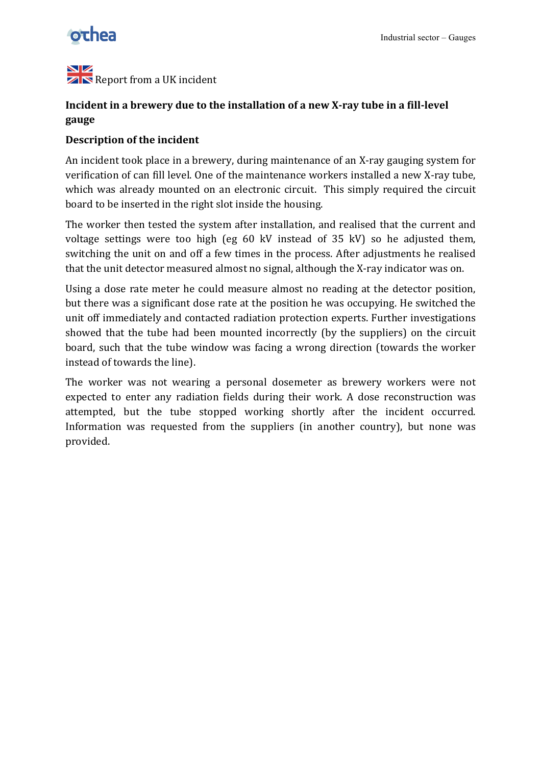

#### NZ  $\mathbb{Z} \mathbb{N}$  Report from a UK incident

## **Incident in a brewery due to the installation of a new X-ray tube in a fill-level gauge**

### **Description of the incident**

An incident took place in a brewery, during maintenance of an X-ray gauging system for verification of can fill level. One of the maintenance workers installed a new X-ray tube, which was already mounted on an electronic circuit. This simply required the circuit board to be inserted in the right slot inside the housing.

The worker then tested the system after installation, and realised that the current and voltage settings were too high (eg 60 kV instead of 35 kV) so he adjusted them, switching the unit on and off a few times in the process. After adjustments he realised that the unit detector measured almost no signal, although the X-ray indicator was on.

Using a dose rate meter he could measure almost no reading at the detector position, but there was a significant dose rate at the position he was occupying. He switched the unit off immediately and contacted radiation protection experts. Further investigations showed that the tube had been mounted incorrectly (by the suppliers) on the circuit board, such that the tube window was facing a wrong direction (towards the worker' instead of towards the line).

The worker was not wearing a personal dosemeter as brewery workers were not expected to enter any radiation fields during their work. A dose reconstruction was attempted, but the tube stopped working shortly after the incident occurred. Information was requested from the suppliers (in another country), but none was provided.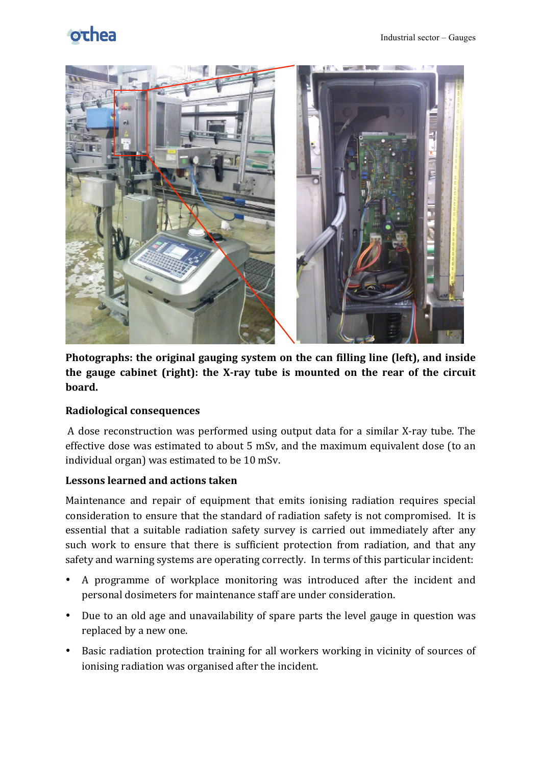# othea



Photographs: the original gauging system on the can filling line (left), and inside the gauge cabinet (right): the X-ray tube is mounted on the rear of the circuit **board.!**

## **Radiological!consequences**

A dose reconstruction was performed using output data for a similar X-ray tube. The effective dose was estimated to about 5 mSv, and the maximum equivalent dose (to an individual organ) was estimated to be 10 mSv.

### Lessons learned and actions taken

Maintenance and repair of equipment that emits ionising radiation requires special consideration to ensure that the standard of radiation safety is not compromised. It is essential that a suitable radiation safety survey is carried out immediately after any such work to ensure that there is sufficient protection from radiation, and that any safety and warning systems are operating correctly. In terms of this particular incident:

- A programme of workplace monitoring was introduced after the incident and personal dosimeters for maintenance staff are under consideration.
- Due to an old age and unavailability of spare parts the level gauge in question was replaced by a new one.
- Basic radiation protection training for all workers working in vicinity of sources of ionising radiation was organised after the incident.